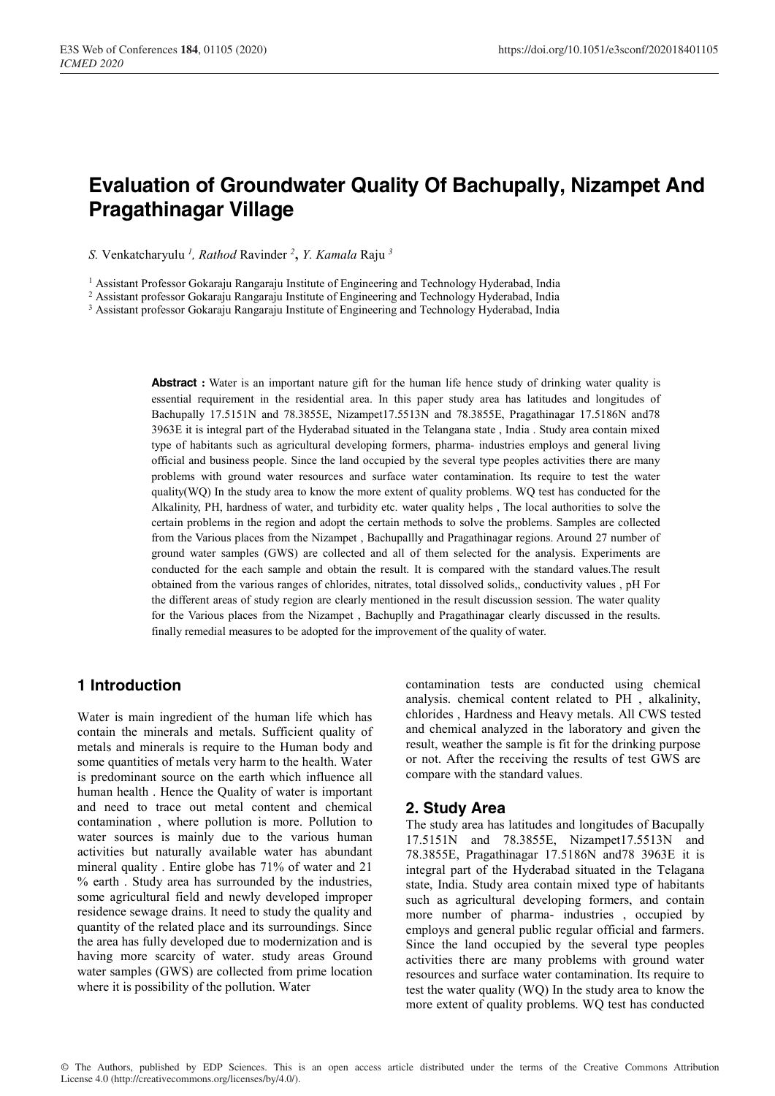# **Evaluation of Groundwater Quality Of Bachupally, Nizampet And Pragathinagar Village**

*S.* Venkatcharyulu *<sup>1</sup> , Rathod* Ravinder *<sup>2</sup>* , *Y. Kamala* Raju *<sup>3</sup>*

<sup>1</sup> Assistant Professor Gokaraju Rangaraju Institute of Engineering and Technology Hyderabad, India

<sup>2</sup> Assistant professor Gokaraju Rangaraju Institute of Engineering and Technology Hyderabad, India

<sup>3</sup> Assistant professor Gokaraju Rangaraju Institute of Engineering and Technology Hyderabad, India

**Abstract :** Water is an important nature gift for the human life hence study of drinking water quality is essential requirement in the residential area. In this paper study area has latitudes and longitudes of Bachupally 17.5151N and 78.3855E, Nizampet17.5513N and 78.3855E, Pragathinagar 17.5186N and78 3963E it is integral part of the Hyderabad situated in the Telangana state , India . Study area contain mixed type of habitants such as agricultural developing formers, pharma- industries employs and general living official and business people. Since the land occupied by the several type peoples activities there are many problems with ground water resources and surface water contamination. Its require to test the water quality(WQ) In the study area to know the more extent of quality problems. WQ test has conducted for the Alkalinity, PH, hardness of water, and turbidity etc. water quality helps , The local authorities to solve the certain problems in the region and adopt the certain methods to solve the problems. Samples are collected from the Various places from the Nizampet , Bachupallly and Pragathinagar regions. Around 27 number of ground water samples (GWS) are collected and all of them selected for the analysis. Experiments are conducted for the each sample and obtain the result. It is compared with the standard values.The result obtained from the various ranges of chlorides, nitrates, total dissolved solids,, conductivity values , pH For the different areas of study region are clearly mentioned in the result discussion session. The water quality for the Various places from the Nizampet , Bachuplly and Pragathinagar clearly discussed in the results. finally remedial measures to be adopted for the improvement of the quality of water.

## **1 Introduction**

Water is main ingredient of the human life which has contain the minerals and metals. Sufficient quality of metals and minerals is require to the Human body and some quantities of metals very harm to the health. Water is predominant source on the earth which influence all human health . Hence the Quality of water is important and need to trace out metal content and chemical contamination , where pollution is more. Pollution to water sources is mainly due to the various human activities but naturally available water has abundant mineral quality . Entire globe has 71% of water and 21 % earth . Study area has surrounded by the industries, some agricultural field and newly developed improper residence sewage drains. It need to study the quality and quantity of the related place and its surroundings. Since the area has fully developed due to modernization and is having more scarcity of water. study areas Ground water samples (GWS) are collected from prime location where it is possibility of the pollution. Water

contamination tests are conducted using chemical analysis. chemical content related to PH , alkalinity, chlorides , Hardness and Heavy metals. All CWS tested and chemical analyzed in the laboratory and given the result, weather the sample is fit for the drinking purpose or not. After the receiving the results of test GWS are compare with the standard values.

### **2. Study Area**

The study area has latitudes and longitudes of Bacupally 17.5151N and 78.3855E, Nizampet17.5513N and 78.3855E, Pragathinagar 17.5186N and78 3963E it is integral part of the Hyderabad situated in the Telagana state, India. Study area contain mixed type of habitants such as agricultural developing formers, and contain more number of pharma- industries , occupied by employs and general public regular official and farmers. Since the land occupied by the several type peoples activities there are many problems with ground water resources and surface water contamination. Its require to test the water quality (WQ) In the study area to know the more extent of quality problems. WQ test has conducted

© The Authors, published by EDP Sciences. This is an open access article distributed under the terms of the Creative Commons Attribution License 4.0 (http://creativecommons.org/licenses/by/4.0/).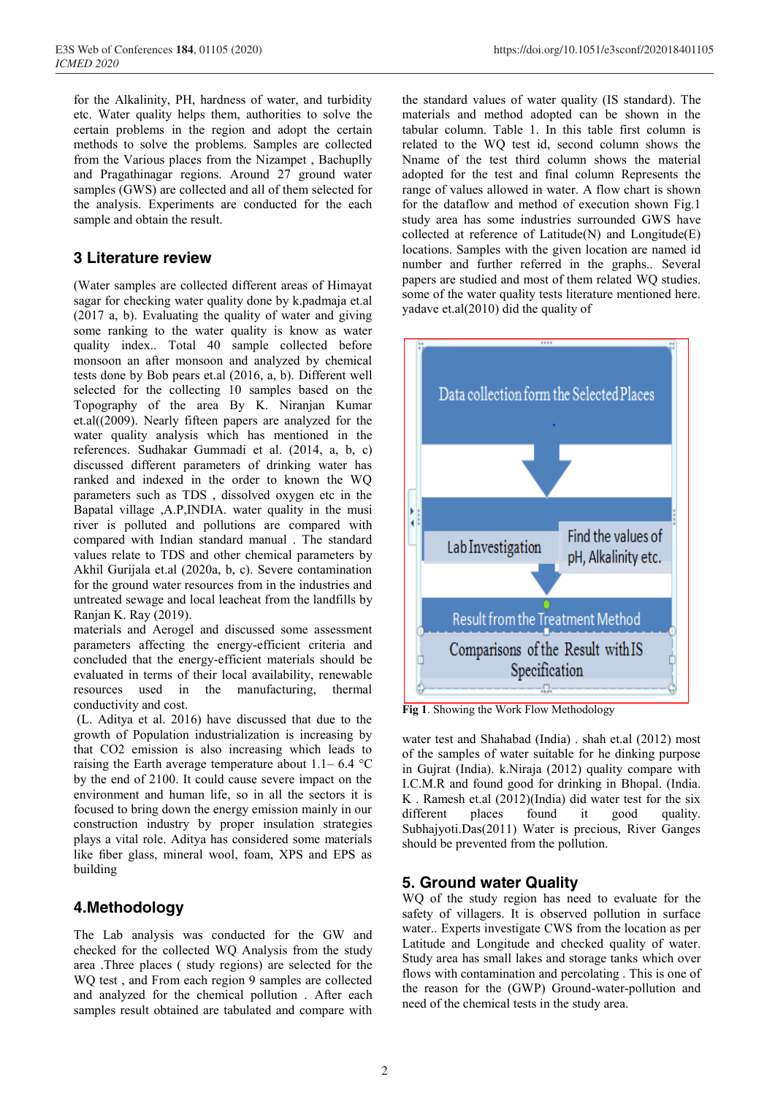for the Alkalinity, PH, hardness of water, and turbidity etc. Water quality helps them, authorities to solve the certain problems in the region and adopt the certain methods to solve the problems. Samples are collected from the Various places from the Nizampet , Bachuplly and Pragathinagar regions. Around 27 ground water samples (GWS) are collected and all of them selected for the analysis. Experiments are conducted for the each sample and obtain the result.

# **3 Literature review**

(Water samples are collected different areas of Himayat sagar for checking water quality done by k.padmaja et.al (2017 a, b). Evaluating the quality of water and giving some ranking to the water quality is know as water quality index.. Total 40 sample collected before monsoon an after monsoon and analyzed by chemical tests done by Bob pears et.al (2016, a, b). Different well selected for the collecting 10 samples based on the Topography of the area By K. Niranjan Kumar et.al((2009). Nearly fifteen papers are analyzed for the water quality analysis which has mentioned in the references. Sudhakar Gummadi et al. (2014, a, b, c) discussed different parameters of drinking water has ranked and indexed in the order to known the WQ parameters such as TDS , dissolved oxygen etc in the Bapatal village ,A.P,INDIA. water quality in the musi river is polluted and pollutions are compared with compared with Indian standard manual . The standard values relate to TDS and other chemical parameters by Akhil Gurijala et.al (2020a, b, c). Severe contamination for the ground water resources from in the industries and untreated sewage and local leacheat from the landfills by Ranjan K. Ray (2019).

materials and Aerogel and discussed some assessment parameters affecting the energy-efficient criteria and concluded that the energy-efficient materials should be evaluated in terms of their local availability, renewable resources used in the manufacturing, thermal conductivity and cost.

(L. Aditya et al. 2016) have discussed that due to the growth of Population industrialization is increasing by that CO2 emission is also increasing which leads to raising the Earth average temperature about  $1.1-6.4$  °C by the end of 2100. It could cause severe impact on the environment and human life, so in all the sectors it is focused to bring down the energy emission mainly in our construction industry by proper insulation strategies plays a vital role. Aditya has considered some materials like fiber glass, mineral wool, foam, XPS and EPS as building

# **4.Methodology**

The Lab analysis was conducted for the GW and checked for the collected WQ Analysis from the study area .Three places ( study regions) are selected for the WQ test , and From each region 9 samples are collected and analyzed for the chemical pollution . After each samples result obtained are tabulated and compare with

the standard values of water quality (IS standard). The materials and method adopted can be shown in the tabular column. Table 1. In this table first column is related to the WQ test id, second column shows the Nname of the test third column shows the material adopted for the test and final column Represents the range of values allowed in water. A flow chart is shown for the dataflow and method of execution shown Fig.1 study area has some industries surrounded GWS have collected at reference of Latitude(N) and Longitude(E) locations. Samples with the given location are named id number and further referred in the graphs.. Several papers are studied and most of them related WQ studies. some of the water quality tests literature mentioned here. yadave et.al(2010) did the quality of



**Fig 1**. Showing the Work Flow Methodology

water test and Shahabad (India) . shah et.al (2012) most of the samples of water suitable for he dinking purpose in Gujrat (India). k.Niraja (2012) quality compare with I.C.M.R and found good for drinking in Bhopal. (India. K . Ramesh et.al (2012)(India) did water test for the six different places found it good quality. Subhajyoti.Das(2011) Water is precious, River Ganges should be prevented from the pollution.

# **5. Ground water Quality**

WQ of the study region has need to evaluate for the safety of villagers. It is observed pollution in surface water.. Experts investigate CWS from the location as per Latitude and Longitude and checked quality of water. Study area has small lakes and storage tanks which over flows with contamination and percolating . This is one of the reason for the (GWP) Ground-water-pollution and need of the chemical tests in the study area.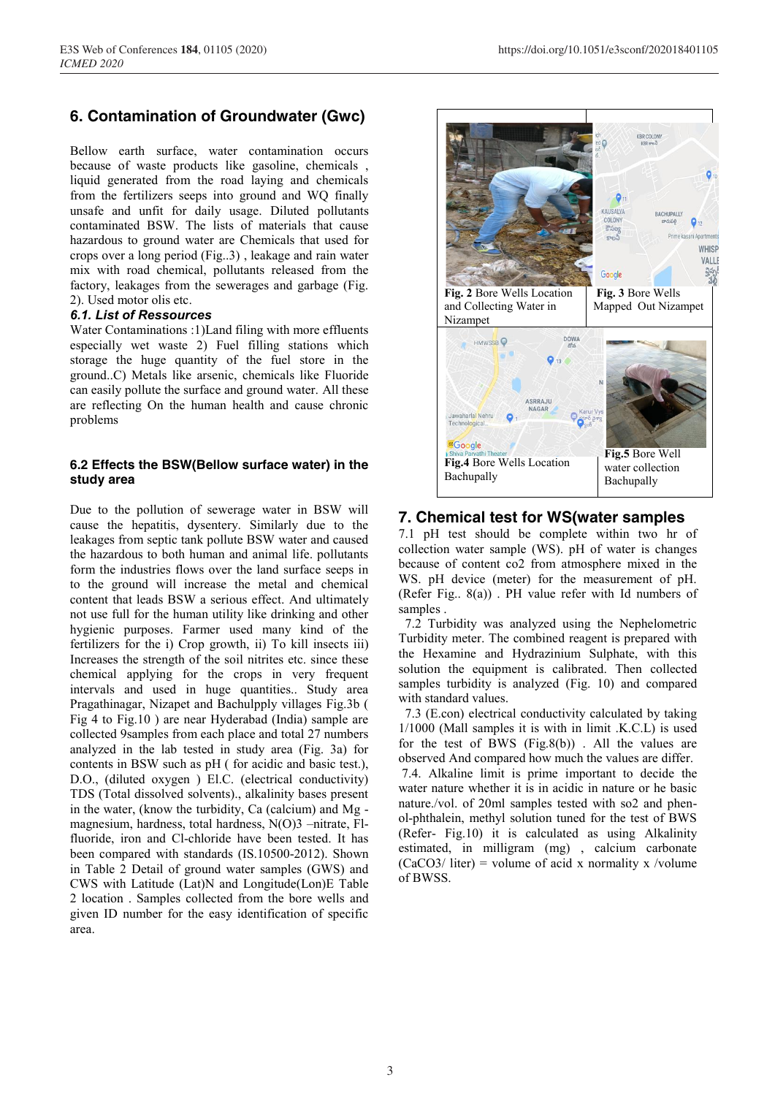# **6. Contamination of Groundwater (Gwc)**

Bellow earth surface, water contamination occurs because of waste products like gasoline, chemicals , liquid generated from the road laying and chemicals from the fertilizers seeps into ground and WQ finally unsafe and unfit for daily usage. Diluted pollutants contaminated BSW. The lists of materials that cause hazardous to ground water are Chemicals that used for crops over a long period (Fig..3) , leakage and rain water mix with road chemical, pollutants released from the factory, leakages from the sewerages and garbage (Fig. 2). Used motor olis etc.

#### *6.1. List of Ressources*

Water Contaminations :1)Land filing with more effluents especially wet waste 2) Fuel filling stations which storage the huge quantity of the fuel store in the ground..C) Metals like arsenic, chemicals like Fluoride can easily pollute the surface and ground water. All these are reflecting On the human health and cause chronic problems

#### **6.2 Effects the BSW(Bellow surface water) in the study area**

Due to the pollution of sewerage water in BSW will cause the hepatitis, dysentery. Similarly due to the leakages from septic tank pollute BSW water and caused the hazardous to both human and animal life. pollutants form the industries flows over the land surface seeps in to the ground will increase the metal and chemical content that leads BSW a serious effect. And ultimately not use full for the human utility like drinking and other hygienic purposes. Farmer used many kind of the fertilizers for the i) Crop growth, ii) To kill insects iii) Increases the strength of the soil nitrites etc. since these chemical applying for the crops in very frequent intervals and used in huge quantities.. Study area Pragathinagar, Nizapet and Bachulpply villages Fig.3b ( Fig 4 to Fig.10 ) are near Hyderabad (India) sample are collected 9samples from each place and total 27 numbers analyzed in the lab tested in study area (Fig. 3a) for contents in BSW such as pH ( for acidic and basic test.), D.O., (diluted oxygen ) El.C. (electrical conductivity) TDS (Total dissolved solvents)., alkalinity bases present in the water, (know the turbidity, Ca (calcium) and Mg magnesium, hardness, total hardness, N(O)3 –nitrate, Flfluoride, iron and Cl-chloride have been tested. It has been compared with standards (IS.10500-2012). Shown in Table 2 Detail of ground water samples (GWS) and CWS with Latitude (Lat)N and Longitude(Lon)E Table 2 location . Samples collected from the bore wells and given ID number for the easy identification of specific area.



# **7. Chemical test for WS(water samples**

7.1 pH test should be complete within two hr of collection water sample (WS). pH of water is changes because of content co2 from atmosphere mixed in the WS. pH device (meter) for the measurement of pH. (Refer Fig.. 8(a)) . PH value refer with Id numbers of samples .

7.2 Turbidity was analyzed using the Nephelometric Turbidity meter. The combined reagent is prepared with the Hexamine and Hydrazinium Sulphate, with this solution the equipment is calibrated. Then collected samples turbidity is analyzed (Fig. 10) and compared with standard values.

7.3 (E.con) electrical conductivity calculated by taking 1/1000 (Mall samples it is with in limit .K.C.L) is used for the test of BWS  $(Fig.8(b))$ . All the values are observed And compared how much the values are differ.

7.4. Alkaline limit is prime important to decide the water nature whether it is in acidic in nature or he basic nature./vol. of 20ml samples tested with so2 and phenol-phthalein, methyl solution tuned for the test of BWS (Refer- Fig.10) it is calculated as using Alkalinity estimated, in milligram (mg) , calcium carbonate  $(CaCO3/$  liter) = volume of acid x normality x /volume of BWSS.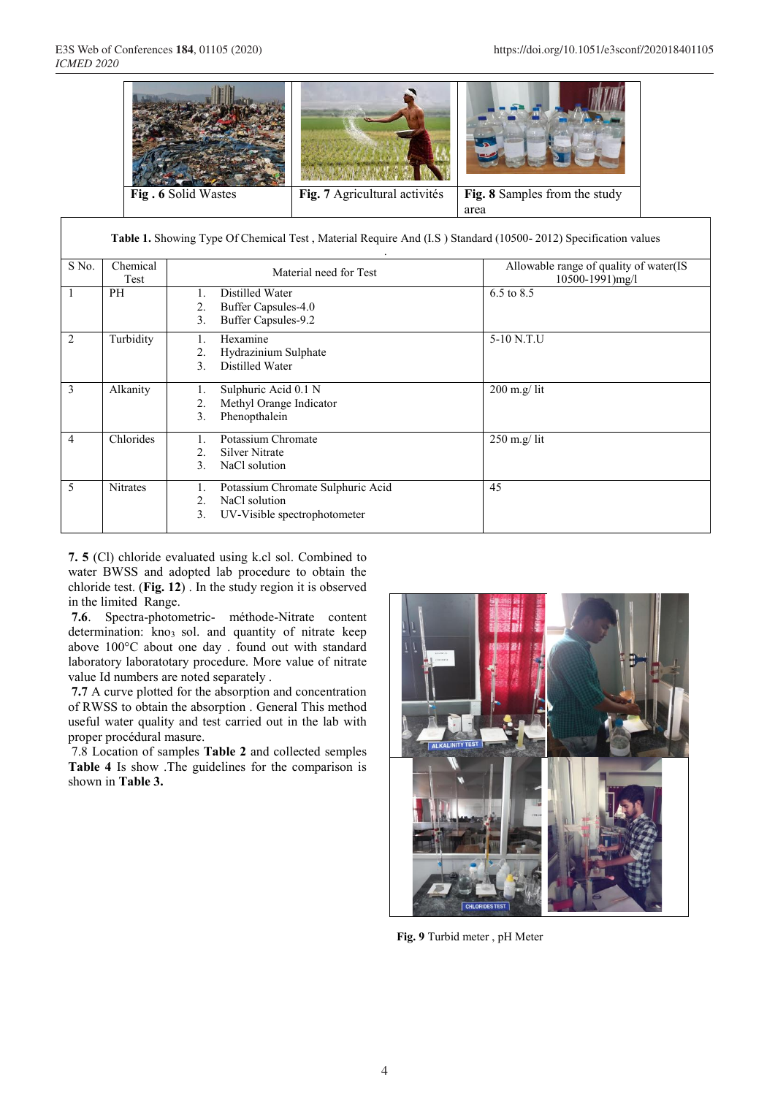

|                | Table 1. Showing Type Of Chemical Test, Material Require And (I.S.) Standard (10500-2012) Specification values |                                                                                                      |                                                           |  |  |  |  |  |
|----------------|----------------------------------------------------------------------------------------------------------------|------------------------------------------------------------------------------------------------------|-----------------------------------------------------------|--|--|--|--|--|
| S No.          | Chemical<br>Test                                                                                               | Material need for Test                                                                               | Allowable range of quality of water(IS<br>10500-1991)mg/l |  |  |  |  |  |
| 1              | PH                                                                                                             | Distilled Water<br>1.<br>Buffer Capsules-4.0<br>2.<br>Buffer Capsules-9.2<br>3.                      | 6.5 to 8.5                                                |  |  |  |  |  |
| 2              | Turbidity                                                                                                      | Hexamine<br>Hydrazinium Sulphate<br>2.<br>Distilled Water<br>3.                                      | 5-10 N.T.U                                                |  |  |  |  |  |
| 3              | Alkanity                                                                                                       | Sulphuric Acid 0.1 N<br>1.<br>Methyl Orange Indicator<br>2.<br>Phenopthalein<br>3.                   | $200$ m.g/ lit                                            |  |  |  |  |  |
| $\overline{4}$ | Chlorides                                                                                                      | Potassium Chromate<br>1.<br>Silver Nitrate<br>2.<br>3.<br>NaCl solution                              | $250$ m.g/ lit                                            |  |  |  |  |  |
| 5              | <b>Nitrates</b>                                                                                                | Potassium Chromate Sulphuric Acid<br>1.<br>NaCl solution<br>2.<br>3.<br>UV-Visible spectrophotometer | 45                                                        |  |  |  |  |  |

**7. 5** (Cl) chloride evaluated using k.cl sol. Combined to water BWSS and adopted lab procedure to obtain the chloride test. (**Fig. 12**) . In the study region it is observed in the limited Range.

**7.6**. Spectra-photometric- méthode-Nitrate content determination: kno<sub>3</sub> sol. and quantity of nitrate keep above 100°C about one day . found out with standard laboratory laboratotary procedure. More value of nitrate value Id numbers are noted separately .

**7.7** A curve plotted for the absorption and concentration of RWSS to obtain the absorption . General This method useful water quality and test carried out in the lab with proper procédural masure.

7.8 Location of samples **Table 2** and collected semples **Table 4** Is show .The guidelines for the comparison is shown in **Table 3.**



**Fig. 9** Turbid meter , pH Meter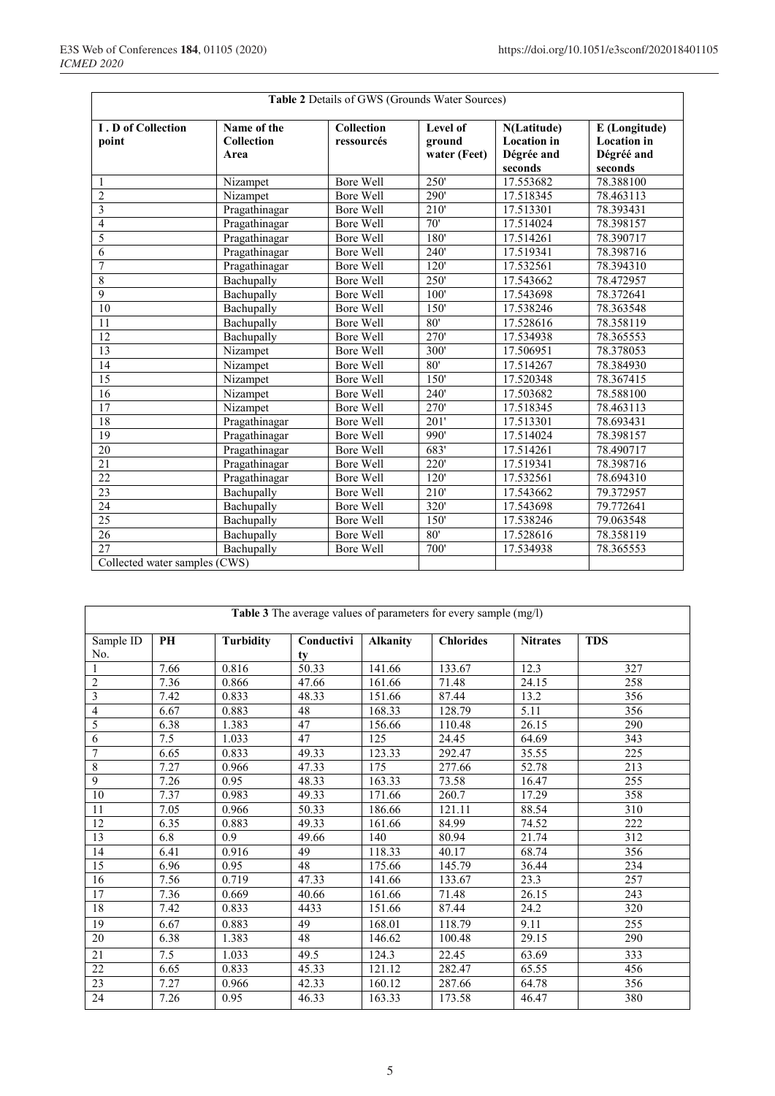| Table 2 Details of GWS (Grounds Water Sources) |                   |                  |              |                    |                    |
|------------------------------------------------|-------------------|------------------|--------------|--------------------|--------------------|
| <b>I</b> . D of Collection                     | Name of the       | Collection       | Level of     | N(Latitude)        | E (Longitude)      |
| point                                          | <b>Collection</b> | ressourcés       | ground       | <b>Location</b> in | <b>Location</b> in |
|                                                | Area              |                  | water (Feet) | Dégrée and         | Dégréé and         |
|                                                |                   |                  |              | seconds            | seconds            |
| 1                                              | Nizampet          | Bore Well        | 250'         | 17.553682          | 78.388100          |
| $\overline{2}$                                 | Nizampet          | Bore Well        | 290'         | 17.518345          | 78.463113          |
| 3                                              | Pragathinagar     | <b>Bore Well</b> | 210'         | 17.513301          | 78.393431          |
| $\overline{4}$                                 | Pragathinagar     | <b>Bore Well</b> | 70'          | 17.514024          | 78.398157          |
| 5                                              | Pragathinagar     | Bore Well        | 180'         | 17.514261          | 78.390717          |
| 6                                              | Pragathinagar     | <b>Bore Well</b> | 240          | 17.519341          | 78.398716          |
| $\overline{7}$                                 | Pragathinagar     | Bore Well        | 120'         | 17.532561          | 78.394310          |
| $\overline{8}$                                 | Bachupally        | <b>Bore Well</b> | 250'         | 17.543662          | 78.472957          |
| 9                                              | Bachupally        | Bore Well        | 100'         | 17.543698          | 78.372641          |
| 10                                             | Bachupally        | Bore Well        | 150'         | 17.538246          | 78.363548          |
| 11                                             | Bachupally        | Bore Well        | 80'          | 17.528616          | 78.358119          |
| 12                                             | Bachupally        | Bore Well        | 270'         | 17.534938          | 78.365553          |
| 13                                             | Nizampet          | <b>Bore Well</b> | 300'         | 17.506951          | 78.378053          |
| 14                                             | Nizampet          | Bore Well        | 80'          | 17.514267          | 78.384930          |
| $\overline{15}$                                | Nizampet          | Bore Well        | 150'         | 17.520348          | 78.367415          |
| 16                                             | Nizampet          | Bore Well        | 240          | 17.503682          | 78.588100          |
| 17                                             | Nizampet          | Bore Well        | 270'         | 17.518345          | 78.463113          |
| 18                                             | Pragathinagar     | Bore Well        | 201'         | 17.513301          | 78.693431          |
| $\overline{19}$                                | Pragathinagar     | Bore Well        | 990'         | 17.514024          | 78.398157          |
| 20                                             | Pragathinagar     | Bore Well        | 683'         | 17.514261          | 78.490717          |
| $\overline{21}$                                | Pragathinagar     | <b>Bore Well</b> | 220'         | 17.519341          | 78.398716          |
| 22                                             | Pragathinagar     | Bore Well        | 120'         | 17.532561          | 78.694310          |
| 23                                             | Bachupally        | Bore Well        | 210'         | 17.543662          | 79.372957          |
| 24                                             | Bachupally        | Bore Well        | 320'         | 17.543698          | 79.772641          |
| $\overline{25}$                                | Bachupally        | Bore Well        | 150          | 17.538246          | 79.063548          |
| 26                                             | Bachupally        | Bore Well        | 80'          | 17.528616          | 78.358119          |
| $\overline{27}$                                | Bachupally        | Bore Well        | 700'         | 17.534938          | 78.365553          |
| Collected water samples (CWS)                  |                   |                  |              |                    |                    |

Collected water samples (CWS)

| Table 3 The average values of parameters for every sample (mg/l) |      |                  |            |                 |                  |                   |            |
|------------------------------------------------------------------|------|------------------|------------|-----------------|------------------|-------------------|------------|
| Sample ID                                                        | PH   | <b>Turbidity</b> | Conductivi | <b>Alkanity</b> | <b>Chlorides</b> | <b>Nitrates</b>   | <b>TDS</b> |
| No.                                                              |      |                  | tv         |                 |                  |                   |            |
| $\mathbf{1}$                                                     | 7.66 | 0.816            | 50.33      | 141.66          | 133.67           | 12.3              | 327        |
| $\overline{2}$                                                   | 7.36 | 0.866            | 47.66      | 161.66          | 71.48            | 24.15             | 258        |
| 3                                                                | 7.42 | 0.833            | 48.33      | 151.66          | 87.44            | 13.2              | 356        |
| $\overline{4}$                                                   | 6.67 | 0.883            | 48         | 168.33          | 128.79           | $\overline{5.11}$ | 356        |
| 5                                                                | 6.38 | 1.383            | 47         | 156.66          | 110.48           | 26.15             | 290        |
| 6                                                                | 7.5  | 1.033            | 47         | 125             | 24.45            | 64.69             | 343        |
| $\overline{7}$                                                   | 6.65 | 0.833            | 49.33      | 123.33          | 292.47           | 35.55             | 225        |
| $\overline{8}$                                                   | 7.27 | 0.966            | 47.33      | 175             | 277.66           | 52.78             | 213        |
| $\overline{9}$                                                   | 7.26 | 0.95             | 48.33      | 163.33          | 73.58            | 16.47             | 255        |
| $\overline{10}$                                                  | 7.37 | 0.983            | 49.33      | 171.66          | 260.7            | 17.29             | 358        |
| 11                                                               | 7.05 | 0.966            | 50.33      | 186.66          | 121.11           | 88.54             | 310        |
| 12                                                               | 6.35 | 0.883            | 49.33      | 161.66          | 84.99            | 74.52             | 222        |
| 13                                                               | 6.8  | 0.9              | 49.66      | 140             | 80.94            | 21.74             | 312        |
| 14                                                               | 6.41 | 0.916            | 49         | 118.33          | 40.17            | 68.74             | 356        |
| 15                                                               | 6.96 | 0.95             | 48         | 175.66          | 145.79           | 36.44             | 234        |
| 16                                                               | 7.56 | 0.719            | 47.33      | 141.66          | 133.67           | 23.3              | 257        |
| 17                                                               | 7.36 | 0.669            | 40.66      | 161.66          | 71.48            | 26.15             | 243        |
| 18                                                               | 7.42 | 0.833            | 4433       | 151.66          | 87.44            | 24.2              | 320        |
| 19                                                               | 6.67 | 0.883            | 49         | 168.01          | 118.79           | 9.11              | 255        |
| 20                                                               | 6.38 | 1.383            | 48         | 146.62          | 100.48           | 29.15             | 290        |
| 21                                                               | 7.5  | 1.033            | 49.5       | 124.3           | 22.45            | 63.69             | 333        |
| 22                                                               | 6.65 | 0.833            | 45.33      | 121.12          | 282.47           | 65.55             | 456        |
| 23                                                               | 7.27 | 0.966            | 42.33      | 160.12          | 287.66           | 64.78             | 356        |
| $\overline{24}$                                                  | 7.26 | 0.95             | 46.33      | 163.33          | 173.58           | 46.47             | 380        |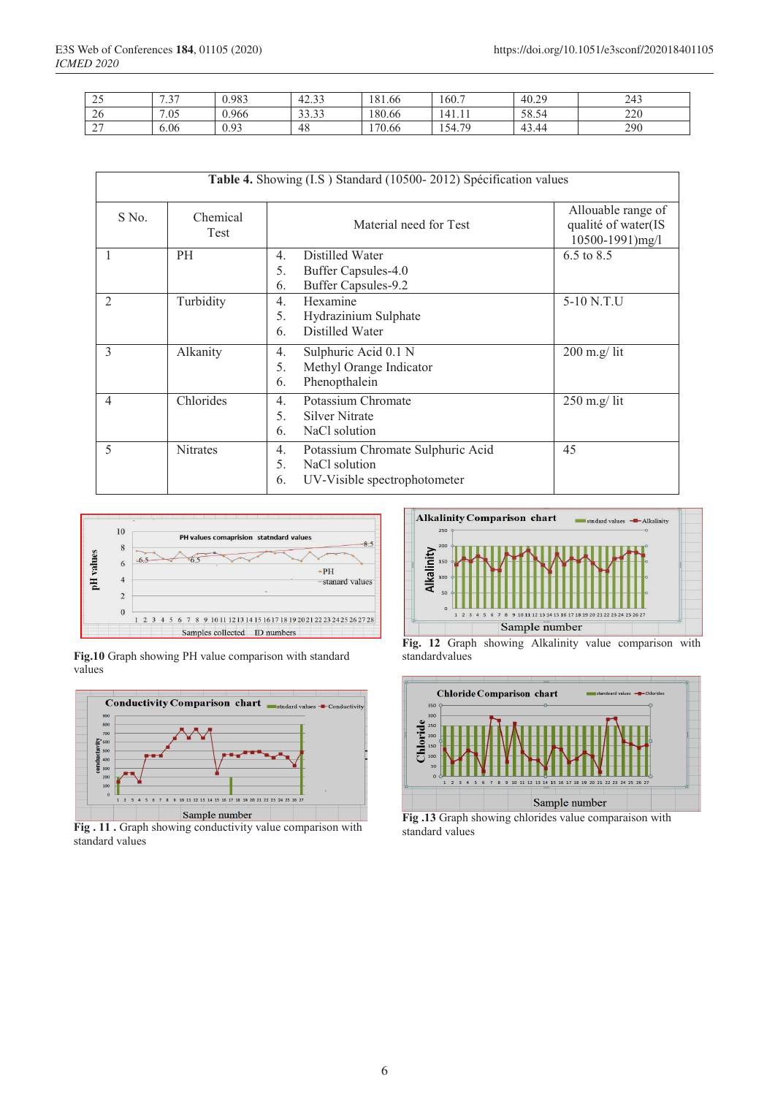| $\sim$ $\sim$<br>ت ک | $\sim$ $\sim$<br>$\overline{\phantom{0}}$ | 0.983 | 42.33       | 181.66 | 160.7                      | 40.29              | 243 |
|----------------------|-------------------------------------------|-------|-------------|--------|----------------------------|--------------------|-----|
| 26                   | 7.05                                      | 0.966 | 222<br>---- | 180.66 | 141.11                     | 58.54              | 220 |
| $\sim$<br>∸          | 6.06                                      | 0.93  | 48          | 170.66 | 70<br>54<br>$\overline{ }$ | $\Lambda$<br>43.44 | 290 |

| Table 4. Showing (I.S) Standard (10500-2012) Spécification values |                 |                                                                                                      |                                                                  |  |  |  |
|-------------------------------------------------------------------|-----------------|------------------------------------------------------------------------------------------------------|------------------------------------------------------------------|--|--|--|
| S No.<br>Chemical<br>Test                                         |                 | Material need for Test                                                                               | Allouable range of<br>qualité of water(IS<br>$10500 - 1991$ mg/l |  |  |  |
| 1                                                                 | <b>PH</b>       | Distilled Water<br>4.<br>Buffer Capsules-4.0<br>5.<br>Buffer Capsules-9.2<br>6.                      | 6.5 to 8.5                                                       |  |  |  |
| 2                                                                 | Turbidity       | Hexamine<br>$\overline{4}$ .<br>Hydrazinium Sulphate<br>5.<br>Distilled Water<br>6.                  | 5-10 N.T.U                                                       |  |  |  |
| 3                                                                 | Alkanity        | Sulphuric Acid 0.1 N<br>4.<br>Methyl Orange Indicator<br>5.<br>Phenopthalein<br>6.                   | $200$ m.g/ lit                                                   |  |  |  |
| $\overline{4}$                                                    | Chlorides       | Potassium Chromate<br>$\overline{4}$ .<br>5.<br><b>Silver Nitrate</b><br>NaCl solution<br>6.         | $250$ m.g/ lit                                                   |  |  |  |
| 5                                                                 | <b>Nitrates</b> | Potassium Chromate Sulphuric Acid<br>4.<br>NaCl solution<br>5.<br>UV-Visible spectrophotometer<br>6. | 45                                                               |  |  |  |



**Fig.10** Graph showing PH value comparison with standard values



**Fig . 11 .** Graph showing conductivity value comparison with standard values



**Fig. 12** Graph showing Alkalinity value comparison with standardvalues



**Fig .13** Graph showing chlorides value comparaison with standard values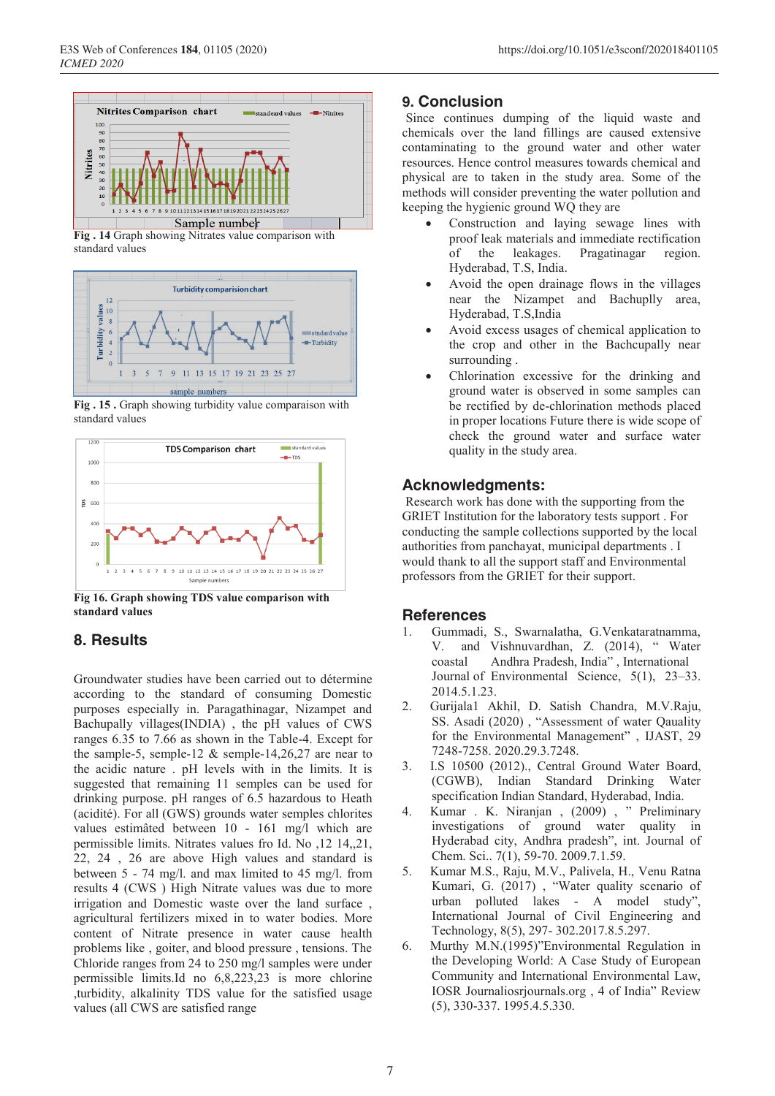

**Fig . 14** Graph showing Nitrates value comparison with standard values



**Fig . 15 .** Graph showing turbidity value comparaison with standard values



**Fig 16. Graph showing TDS value comparison with standard values**

## **8. Results**

Groundwater studies have been carried out to détermine according to the standard of consuming Domestic purposes especially in. Paragathinagar, Nizampet and Bachupally villages(INDIA) , the pH values of CWS ranges 6.35 to 7.66 as shown in the Table-4. Except for the sample-5, semple-12  $&$  semple-14,26,27 are near to the acidic nature . pH levels with in the limits. It is suggested that remaining 11 semples can be used for drinking purpose. pH ranges of 6.5 hazardous to Heath (acidité). For all (GWS) grounds water semples chlorites values estimâted between 10 - 161 mg/l which are permissible limits. Nitrates values fro Id. No ,12 14,,21, 22, 24 , 26 are above High values and standard is between 5 - 74 mg/l. and max limited to 45 mg/l. from results 4 (CWS ) High Nitrate values was due to more irrigation and Domestic waste over the land surface , agricultural fertilizers mixed in to water bodies. More content of Nitrate presence in water cause health problems like , goiter, and blood pressure , tensions. The Chloride ranges from 24 to 250 mg/l samples were under permissible limits.Id no 6,8,223,23 is more chlorine ,turbidity, alkalinity TDS value for the satisfied usage values (all CWS are satisfied range

### **9. Conclusion**

Since continues dumping of the liquid waste and chemicals over the land fillings are caused extensive contaminating to the ground water and other water resources. Hence control measures towards chemical and physical are to taken in the study area. Some of the methods will consider preventing the water pollution and keeping the hygienic ground WQ they are

- Construction and laying sewage lines with proof leak materials and immediate rectification of the leakages. Pragatinagar region. Hyderabad, T.S, India.
- Avoid the open drainage flows in the villages near the Nizampet and Bachuplly area, Hyderabad, T.S,India
- Avoid excess usages of chemical application to the crop and other in the Bachcupally near surrounding .
- Chlorination excessive for the drinking and ground water is observed in some samples can be rectified by de-chlorination methods placed in proper locations Future there is wide scope of check the ground water and surface water quality in the study area.

### **Acknowledgments:**

Research work has done with the supporting from the GRIET Institution for the laboratory tests support . For conducting the sample collections supported by the local authorities from panchayat, municipal departments . I would thank to all the support staff and Environmental professors from the GRIET for their support.

### **References**

- 1. Gummadi, S., Swarnalatha, G.Venkataratnamma, V. and Vishnuvardhan, Z. (2014), " Water coastal Andhra Pradesh, India" , International Journal of Environmental Science, 5(1), 23–33. 2014.5.1.23.
- 2. Gurijala1 Akhil, D. Satish Chandra, M.V.Raju, SS. Asadi (2020) , "Assessment of water Qauality for the Environmental Management" , IJAST, 29 7248-7258. 2020.29.3.7248.
- 3. I.S 10500 (2012)., Central Ground Water Board, (CGWB), Indian Standard Drinking Water specification Indian Standard, Hyderabad, India.
- 4. Kumar . K. Niranjan , (2009) , " Preliminary investigations of ground water quality in Hyderabad city, Andhra pradesh", int. Journal of Chem. Sci.. 7(1), 59-70. 2009.7.1.59.
- 5. Kumar M.S., Raju, M.V., Palivela, H., Venu Ratna Kumari, G. (2017) , "Water quality scenario of urban polluted lakes - A model study", International Journal of Civil Engineering and Technology, 8(5), 297- 302.2017.8.5.297.
- 6. Murthy M.N.(1995)"Environmental Regulation in the Developing World: A Case Study of European Community and International Environmental Law, IOSR Journaliosrjournals.org , 4 of India" Review (5), 330-337. 1995.4.5.330.